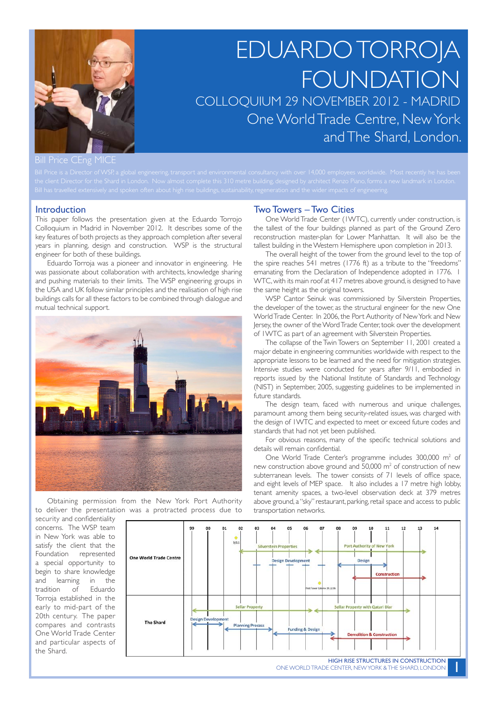

# EDUARDO TORROJA FOUNDATION COLLOQUIUM 29 NOVEMBER 2012 - MADRID One World Trade Centre, New York and The Shard, London.

Bill Price CEng MICE

#### Introduction

This paper follows the presentation given at the Eduardo Torrojo Colloquium in Madrid in November 2012. It describes some of the key features of both projects as they approach completion after several years in planning, design and construction. WSP is the structural engineer for both of these buildings.

Eduardo Torroja was a pioneer and innovator in engineering. He was passionate about collaboration with architects, knowledge sharing and pushing materials to their limits. The WSP engineering groups in the USA and UK follow similar principles and the realisation of high rise buildings calls for all these factors to be combined through dialogue and mutual technical support.



Obtaining permission from the New York Port Authority to deliver the presentation was a protracted process due to

#### Two Towers – Two Cities

One World Trade Center (1WTC), currently under construction, is the tallest of the four buildings planned as part of the Ground Zero reconstruction master-plan for Lower Manhattan. It will also be the tallest building in the Western Hemisphere upon completion in 2013.

The overall height of the tower from the ground level to the top of the spire reaches 541 metres (1776 ft) as a tribute to the "freedoms" emanating from the Declaration of Independence adopted in 1776. 1 WTC, with its main roof at 417 metres above ground, is designed to have the same height as the original towers.

WSP Cantor Seinuk was commissioned by Silverstein Properties, the developer of the tower, as the structural engineer for the new One World Trade Center. In 2006, the Port Authority of New York and New Jersey, the owner of the Word Trade Center, took over the development of 1WTC as part of an agreement with Silverstein Properties.

The collapse of the Twin Towers on September 11, 2001 created a major debate in engineering communities worldwide with respect to the appropriate lessons to be learned and the need for mitigation strategies. Intensive studies were conducted for years after 9/11, embodied in reports issued by the National Institute of Standards and Technology (NIST) in September, 2005, suggesting guidelines to be implemented in future standards.

The design team, faced with numerous and unique challenges, paramount among them being security-related issues, was charged with the design of 1WTC and expected to meet or exceed future codes and standards that had not yet been published.

For obvious reasons, many of the specific technical solutions and details will remain confidential.

One World Trade Center's programme includes 300,000 m<sup>2</sup> of new construction above ground and  $50,000$  m<sup>2</sup> of construction of new subterranean levels. The tower consists of 71 levels of office space, and eight levels of MEP space. It also includes a 17 metre high lobby, tenant amenity spaces, a two-level observation deck at 379 metres above ground, a "sky" restaurant, parking, retail space and access to public transportation networks.

security and confidentiality concerns. The WSP team in New York was able to satisfy the client that the Foundation represented a special opportunity to begin to share knowledge and learning in the tradition of Eduardo Torroja established in the early to mid-part of the 20th century. The paper compares and contrasts One World Trade Center and particular aspects of the Shard.

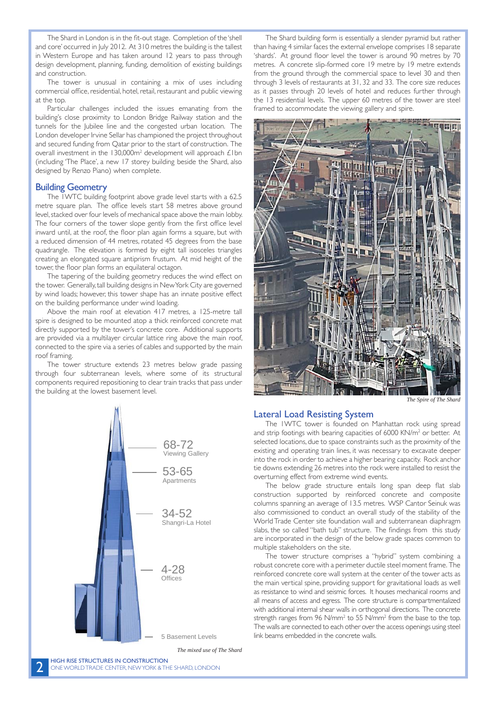The Shard in London is in the fit-out stage. Completion of the 'shell and core' occurred in July 2012. At 310 metres the building is the tallest in Western Europe and has taken around 12 years to pass through design development, planning, funding, demolition of existing buildings and construction.

The tower is unusual in containing a mix of uses including commercial office, residential, hotel, retail, restaurant and public viewing at the top.

Particular challenges included the issues emanating from the building's close proximity to London Bridge Railway station and the tunnels for the Jubilee line and the congested urban location. The London developer Irvine Sellar has championed the project throughout and secured funding from Qatar prior to the start of construction. The overall investment in the  $130,000m^2$  development will approach  $£1bn$ (including 'The Place', a new 17 storey building beside the Shard, also designed by Renzo Piano) when complete.

# Building Geometry

The 1WTC building footprint above grade level starts with a 62.5 metre square plan. The office levels start 58 metres above ground level, stacked over four levels of mechanical space above the main lobby. The four corners of the tower slope gently from the first office level inward until, at the roof, the floor plan again forms a square, but with a reduced dimension of 44 metres, rotated 45 degrees from the base quadrangle. The elevation is formed by eight tall isosceles triangles creating an elongated square antiprism frustum. At mid height of the tower, the floor plan forms an equilateral octagon.

The tapering of the building geometry reduces the wind effect on the tower. Generally, tall building designs in New York City are governed by wind loads; however, this tower shape has an innate positive effect on the building performance under wind loading.

Above the main roof at elevation 417 metres, a 125-metre tall spire is designed to be mounted atop a thick reinforced concrete mat directly supported by the tower's concrete core. Additional supports are provided via a multilayer circular lattice ring above the main roof, connected to the spire via a series of cables and supported by the main roof framing.

The tower structure extends 23 metres below grade passing through four subterranean levels, where some of its structural components required repositioning to clear train tracks that pass under the building at the lowest basement level.



The Shard building form is essentially a slender pyramid but rather than having 4 similar faces the external envelope comprises 18 separate 'shards'. At ground floor level the tower is around 90 metres by 70 metres. A concrete slip-formed core 19 metre by 19 metre extends from the ground through the commercial space to level 30 and then through 3 levels of restaurants at 31, 32 and 33. The core size reduces as it passes through 20 levels of hotel and reduces further through the 13 residential levels. The upper 60 metres of the tower are steel framed to accommodate the viewing gallery and spire.



*The Spire of The Shard*

# Lateral Load Resisting System

The 1WTC tower is founded on Manhattan rock using spread and strip footings with bearing capacities of  $6000$  KN/ $m<sup>2</sup>$  or better. At selected locations, due to space constraints such as the proximity of the existing and operating train lines, it was necessary to excavate deeper into the rock in order to achieve a higher bearing capacity. Rock anchor tie downs extending 26 metres into the rock were installed to resist the overturning effect from extreme wind events.

The below grade structure entails long span deep flat slab construction supported by reinforced concrete and composite columns spanning an average of 13.5 metres. WSP Cantor Seinuk was also commissioned to conduct an overall study of the stability of the World Trade Center site foundation wall and subterranean diaphragm slabs, the so called "bath tub" structure. The findings from this study are incorporated in the design of the below grade spaces common to multiple stakeholders on the site.

The tower structure comprises a "hybrid" system combining a robust concrete core with a perimeter ductile steel moment frame. The reinforced concrete core wall system at the center of the tower acts as the main vertical spine, providing support for gravitational loads as well as resistance to wind and seismic forces. It houses mechanical rooms and all means of access and egress. The core structure is compartmentalized with additional internal shear walls in orthogonal directions. The concrete strength ranges from 96 N/mm<sup>2</sup> to 55 N/mm<sup>2</sup> from the base to the top. The walls are connected to each other over the access openings using steel link beams embedded in the concrete walls.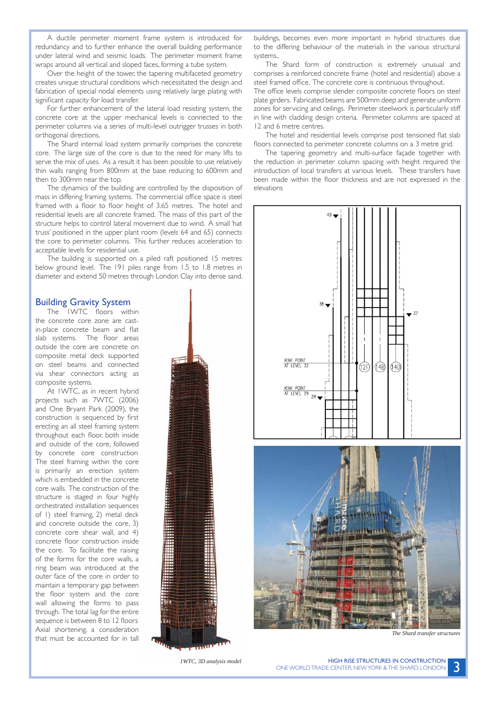A ductile perimeter moment frame system is introduced for redundancy and to further enhance the overall building performance under lateral wind and seismic loads. The perimeter moment frame wraps around all vertical and sloped faces, forming a tube system.

Over the height of the tower, the tapering multifaceted geometry creates unique structural conditions which necessitated the design and fabrication of special nodal elements using relatively large plating with significant capacity for load transfer.

For further enhancement of the lateral load resisting system, the concrete core at the upper mechanical levels is connected to the perimeter columns via a series of multi-level outrigger trusses in both orthogonal directions.

The Shard internal load system primarily comprises the concrete core. The large size of the core is due to the need for many lifts to serve the mix of uses. As a result it has been possible to use relatively thin walls ranging from 800mm at the base reducing to 600mm and then to 300mm near the top.

The dynamics of the building are controlled by the disposition of mass in differing framing systems. The commercial office space is steel framed with a floor to floor height of 3.65 metres. The hotel and residential levels are all concrete framed. The mass of this part of the structure helps to control lateral movement due to wind. A small 'hat truss' positioned in the upper plant room (levels 64 and 65) connects the core to perimeter columns. This further reduces acceleration to acceptable levels for residential use.

The building is supported on a piled raft positioned 15 metres below ground level. The 191 piles range from 1.5 to 1.8 metres in diameter and extend 50 metres through London Clay into dense sand.

## Building Gravity System

The 1WTC floors within the concrete core zone are castin-place concrete beam and flat slab systems. The floor areas outside the core are concrete on composite metal deck supported on steel beams and connected via shear connectors acting as composite systems.

At 1WTC, as in recent hybrid projects such as 7WTC (2006) and One Bryant Park (2009), the construction is sequenced by first erecting an all steel framing system throughout each floor, both inside and outside of the core, followed by concrete core construction. The steel framing within the core is primarily an erection system which is embedded in the concrete core walls. The construction of the structure is staged in four highly orchestrated installation sequences of 1) steel framing, 2) metal deck and concrete outside the core, 3) concrete core shear wall, and 4) concrete floor construction inside the core. To facilitate the raising of the forms for the core walls, a ring beam was introduced at the outer face of the core in order to maintain a temporary gap between the floor system and the core wall allowing the forms to pass through. The total lag for the entire sequence is between 8 to 12 floors. Axial shortening, a consideration that must be accounted for in tall

*1WTC, 3D analysis model*

buildings, becomes even more important in hybrid structures due to the differing behaviour of the materials in the various structural systems..

The Shard form of construction is extremely unusual and comprises a reinforced concrete frame (hotel and residential) above a steel framed office. The concrete core is continuous throughout.

The office levels comprise slender composite concrete floors on steel plate girders. Fabricated beams are 500mm deep and generate uniform zones for servicing and ceilings. Perimeter steelwork is particularly stiff in line with cladding design criteria. Perimeter columns are spaced at 12 and 6 metre centres.

The hotel and residential levels comprise post tensioned flat slab floors connected to perimeter concrete columns on a 3 metre grid.

The tapering geometry and multi-surface façade together with the reduction in perimeter column spacing with height required the introduction of local transfers at various levels. These transfers have been made within the floor thickness and are not expressed in the elevations



*The Shard transfer structures*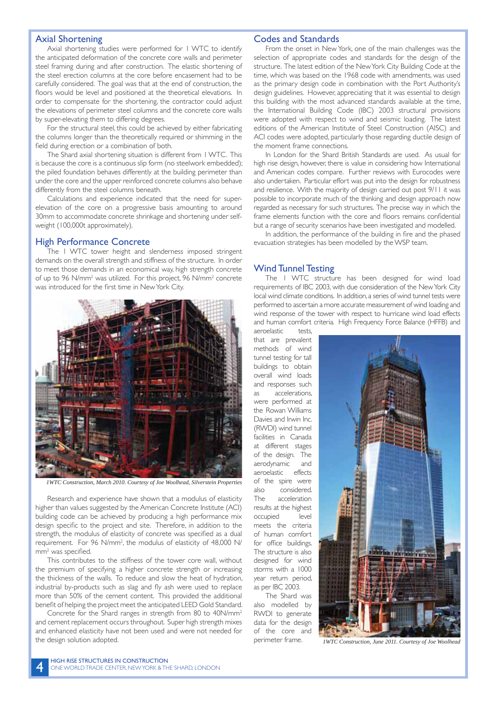#### Axial Shortening

Axial shortening studies were performed for 1 WTC to identify the anticipated deformation of the concrete core walls and perimeter steel framing during and after construction. The elastic shortening of the steel erection columns at the core before encasement had to be carefully considered. The goal was that at the end of construction, the floors would be level and positioned at the theoretical elevations. In order to compensate for the shortening, the contractor could adjust the elevations of perimeter steel columns and the concrete core walls by super-elevating them to differing degrees.

For the structural steel, this could be achieved by either fabricating the columns longer than the theoretically required or shimming in the field during erection or a combination of both.

The Shard axial shortening situation is different from 1 WTC. This is because the core is a continuous slip form (no steelwork embedded); the piled foundation behaves differently at the building perimeter than under the core and the upper reinforced concrete columns also behave differently from the steel columns beneath.

Calculations and experience indicated that the need for superelevation of the core on a progressive basis amounting to around 30mm to accommodate concrete shrinkage and shortening under selfweight (100,000t approximately).

## High Performance Concrete

The 1 WTC tower height and slenderness imposed stringent demands on the overall strength and stiffness of the structure. In order to meet those demands in an economical way, high strength concrete of up to 96 N/mm<sup>2</sup> was utilized. For this project, 96 N/mm<sup>2</sup> concrete was introduced for the first time in New York City.



*1WTC Construction, March 2010. Courtesy of Joe Woolhead, Silverstein Properties*

Research and experience have shown that a modulus of elasticity higher than values suggested by the American Concrete Institute (ACI) building code can be achieved by producing a high performance mix design specific to the project and site. Therefore, in addition to the strength, the modulus of elasticity of concrete was specified as a dual requirement. For 96 N/mm<sup>2</sup>, the modulus of elasticity of 48,000 N/ mm<sup>2</sup> was specified.

This contributes to the stiffness of the tower core wall, without the premium of specifying a higher concrete strength or increasing the thickness of the walls. To reduce and slow the heat of hydration, industrial by-products such as slag and fly ash were used to replace more than 50% of the cement content. This provided the additional benefit of helping the project meet the anticipated LEED Gold Standard.

Concrete for the Shard ranges in strength from 80 to 40N/mm<sup>2</sup> and cement replacement occurs throughout. Super high strength mixes and enhanced elasticity have not been used and were not needed for the design solution adopted. **1WTC Construction, June 2011.** Courtesy of Joe Woolhead

#### Codes and Standards

From the onset in New York, one of the main challenges was the selection of appropriate codes and standards for the design of the structure. The latest edition of the New York City Building Code at the time, which was based on the 1968 code with amendments, was used as the primary design code in combination with the Port Authority's design guidelines. However, appreciating that it was essential to design this building with the most advanced standards available at the time, the International Building Code (IBC) 2003 structural provisions were adopted with respect to wind and seismic loading. The latest editions of the American Institute of Steel Construction (AISC) and ACI codes were adopted, particularly those regarding ductile design of the moment frame connections.

In London for the Shard British Standards are used. As usual for high rise design, however, there is value in considering how International and American codes compare. Further reviews with Eurocodes were also undertaken. Particular effort was put into the design for robustness and resilience. With the majority of design carried out post 9/11 it was possible to incorporate much of the thinking and design approach now regarded as necessary for such structures. The precise way in which the frame elements function with the core and floors remains confidential but a range of security scenarios have been investigated and modelled.

In addition, the performance of the building in fire and the phased evacuation strategies has been modelled by the WSP team.

# Wind Tunnel Testing

The 1 WTC structure has been designed for wind load requirements of IBC 2003, with due consideration of the New York City local wind climate conditions. In addition, a series of wind tunnel tests were performed to ascertain a more accurate measurement of wind loading and wind response of the tower with respect to hurricane wind load effects and human comfort criteria. High Frequency Force Balance (HFFB) and

aeroelastic tests, that are prevalent methods of wind tunnel testing for tall buildings to obtain overall wind loads and responses such as accelerations, were performed at the Rowan Williams Davies and Irwin Inc. (RWDI) wind tunnel facilities in Canada at different stages of the design. The aerodynamic and aeroelastic effects of the spire were also considered. The acceleration results at the highest occupied level meets the criteria of human comfort for office buildings. The structure is also designed for wind storms with a 1000 year return period, as per IBC 2003.

The Shard was also modelled by RWDI to generate data for the design of the core and perimeter frame.